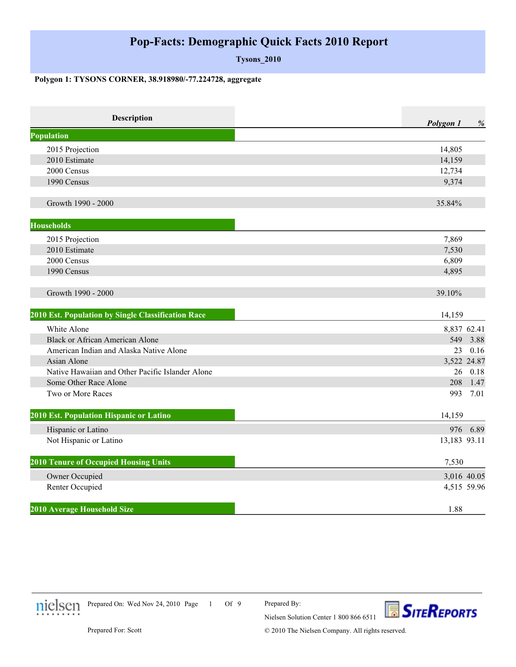## **Pop-Facts: Demographic Quick Facts 2010 Report**

**Tysons\_2010**

## **Polygon 1: TYSONS CORNER, 38.918980/-77.224728, aggregate**

| Description                                        | Polygon 1    | $\%$ |
|----------------------------------------------------|--------------|------|
| <b>Population</b>                                  |              |      |
| 2015 Projection                                    | 14,805       |      |
| 2010 Estimate                                      | 14,159       |      |
| 2000 Census                                        | 12,734       |      |
| 1990 Census                                        | 9,374        |      |
| Growth 1990 - 2000                                 | 35.84%       |      |
| <b>Households</b>                                  |              |      |
| 2015 Projection                                    | 7,869        |      |
| 2010 Estimate                                      | 7,530        |      |
| 2000 Census                                        | 6,809        |      |
| 1990 Census                                        | 4,895        |      |
| Growth 1990 - 2000                                 | 39.10%       |      |
| 2010 Est. Population by Single Classification Race | 14,159       |      |
| White Alone                                        | 8,837 62.41  |      |
| <b>Black or African American Alone</b>             | 549          | 3.88 |
| American Indian and Alaska Native Alone            | 23           | 0.16 |
| Asian Alone                                        | 3,522 24.87  |      |
| Native Hawaiian and Other Pacific Islander Alone   | 26           | 0.18 |
| Some Other Race Alone                              | 208          | 1.47 |
| Two or More Races                                  | 993          | 7.01 |
| 2010 Est. Population Hispanic or Latino            | 14,159       |      |
| Hispanic or Latino                                 | 976          | 6.89 |
| Not Hispanic or Latino                             | 13,183 93.11 |      |
| <b>2010 Tenure of Occupied Housing Units</b>       | 7,530        |      |
| Owner Occupied                                     | 3,016 40.05  |      |
| Renter Occupied                                    | 4,515 59.96  |      |
| 2010 Average Household Size                        | 1.88         |      |



1 Of 9 Prepared On: Wed Nov 24, 2010 Page

Prepared By:



Prepared For: Scott

© 2010 The Nielsen Company. All rights reserved.